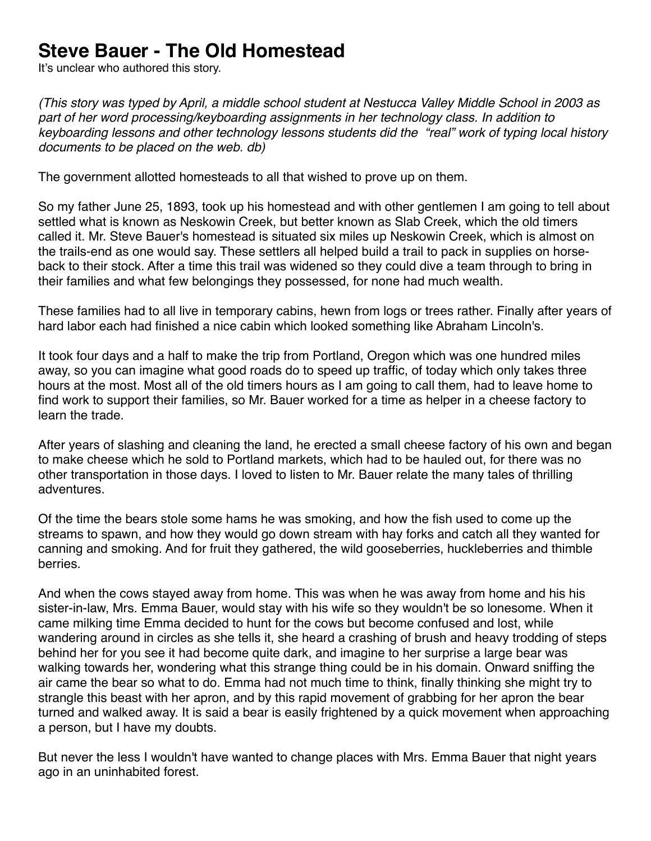## **Steve Bauer - The Old Homestead**

It's unclear who authored this story.

*(This story was typed by April, a middle school student at Nestucca Valley Middle School in 2003 as part of her word processing/keyboarding assignments in her technology class. In addition to keyboarding lessons and other technology lessons students did the "real" work of typing local history documents to be placed on the web. db)*

The government allotted homesteads to all that wished to prove up on them.

So my father June 25, 1893, took up his homestead and with other gentlemen I am going to tell about settled what is known as Neskowin Creek, but better known as Slab Creek, which the old timers called it. Mr. Steve Bauer's homestead is situated six miles up Neskowin Creek, which is almost on the trails-end as one would say. These settlers all helped build a trail to pack in supplies on horseback to their stock. After a time this trail was widened so they could dive a team through to bring in their families and what few belongings they possessed, for none had much wealth.

These families had to all live in temporary cabins, hewn from logs or trees rather. Finally after years of hard labor each had finished a nice cabin which looked something like Abraham Lincoln's.

It took four days and a half to make the trip from Portland, Oregon which was one hundred miles away, so you can imagine what good roads do to speed up traffic, of today which only takes three hours at the most. Most all of the old timers hours as I am going to call them, had to leave home to find work to support their families, so Mr. Bauer worked for a time as helper in a cheese factory to learn the trade.

After years of slashing and cleaning the land, he erected a small cheese factory of his own and began to make cheese which he sold to Portland markets, which had to be hauled out, for there was no other transportation in those days. I loved to listen to Mr. Bauer relate the many tales of thrilling adventures.

Of the time the bears stole some hams he was smoking, and how the fish used to come up the streams to spawn, and how they would go down stream with hay forks and catch all they wanted for canning and smoking. And for fruit they gathered, the wild gooseberries, huckleberries and thimble berries.

And when the cows stayed away from home. This was when he was away from home and his his sister-in-law, Mrs. Emma Bauer, would stay with his wife so they wouldn't be so lonesome. When it came milking time Emma decided to hunt for the cows but become confused and lost, while wandering around in circles as she tells it, she heard a crashing of brush and heavy trodding of steps behind her for you see it had become quite dark, and imagine to her surprise a large bear was walking towards her, wondering what this strange thing could be in his domain. Onward sniffing the air came the bear so what to do. Emma had not much time to think, finally thinking she might try to strangle this beast with her apron, and by this rapid movement of grabbing for her apron the bear turned and walked away. It is said a bear is easily frightened by a quick movement when approaching a person, but I have my doubts.

But never the less I wouldn't have wanted to change places with Mrs. Emma Bauer that night years ago in an uninhabited forest.